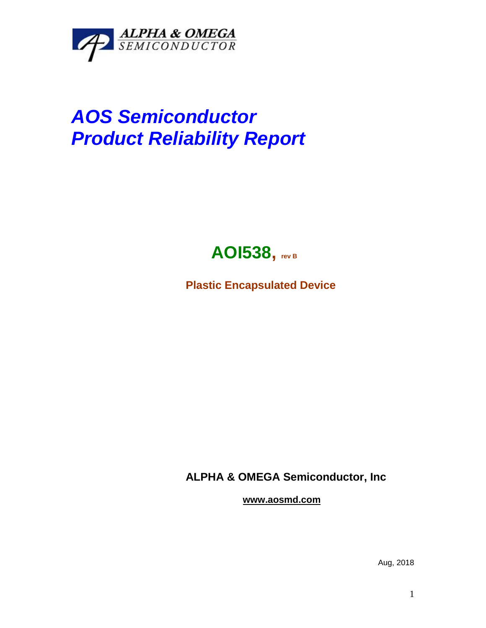

## *AOS Semiconductor Product Reliability Report*



**Plastic Encapsulated Device**

**ALPHA & OMEGA Semiconductor, Inc**

**www.aosmd.com**

Aug, 2018